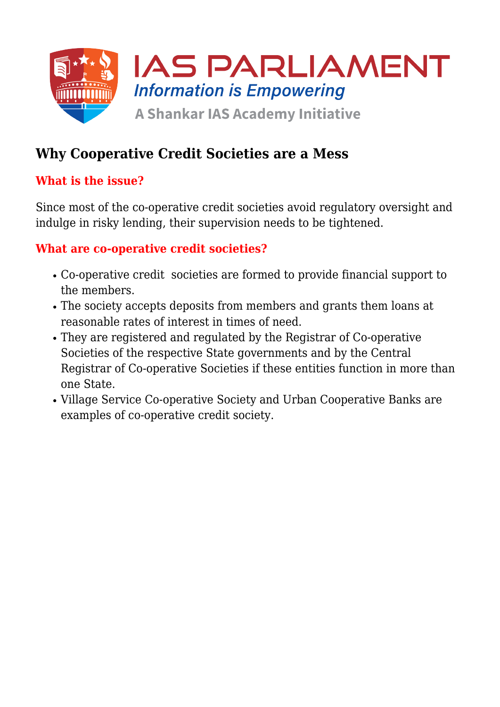

# **Why Cooperative Credit Societies are a Mess**

## **What is the issue?**

Since most of the co-operative credit societies avoid regulatory oversight and indulge in risky lending, their supervision needs to be tightened.

#### **What are co-operative credit societies?**

- Co-operative credit societies are formed to provide financial support to the members.
- The society accepts deposits from members and grants them loans at reasonable rates of interest in times of need.
- They are registered and regulated by the Registrar of Co-operative Societies of the respective State governments and by the Central Registrar of Co-operative Societies if these entities function in more than one State.
- Village Service Co-operative Society and Urban Cooperative Banks are examples of co-operative credit society.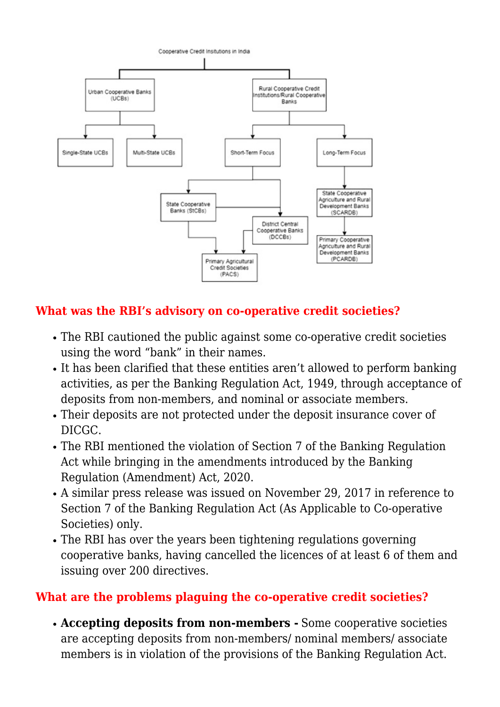

# **What was the RBI's advisory on co-operative credit societies?**

- The RBI cautioned the public against some co-operative credit societies using the word "bank" in their names.
- It has been clarified that these entities aren't allowed to perform banking activities, as per the Banking Regulation Act, 1949, through acceptance of deposits from non-members, and nominal or associate members.
- Their deposits are not protected under the deposit insurance cover of DICGC.
- The RBI mentioned the violation of Section 7 of the Banking Regulation Act while bringing in the amendments introduced by the Banking Regulation (Amendment) Act, 2020.
- A similar press release was issued on November 29, 2017 in reference to Section 7 of the Banking Regulation Act (As Applicable to Co-operative Societies) only.
- The RBI has over the years been tightening regulations governing cooperative banks, having cancelled the licences of at least 6 of them and issuing over 200 directives.

### **What are the problems plaguing the co-operative credit societies?**

**Accepting deposits from non-members -** Some cooperative societies are accepting deposits from non-members/ nominal members/ associate members is in violation of the provisions of the Banking Regulation Act.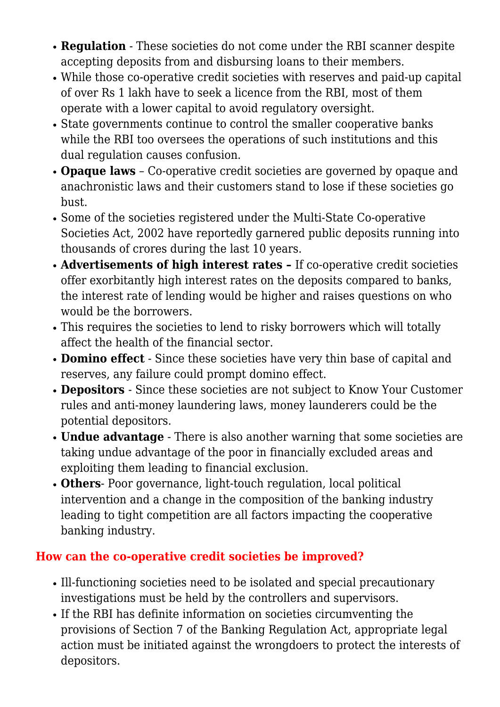- **Regulation** These societies do not come under the RBI scanner despite accepting deposits from and disbursing loans to their members.
- While those co-operative credit societies with reserves and paid-up capital of over Rs 1 lakh have to seek a licence from the RBI, most of them operate with a lower capital to avoid regulatory oversight.
- State governments continue to control the smaller cooperative banks while the RBI too oversees the operations of such institutions and this dual regulation causes confusion.
- **Opaque laws** Co-operative credit societies are governed by opaque and anachronistic laws and their customers stand to lose if these societies go bust.
- Some of the societies registered under the Multi-State Co-operative Societies Act, 2002 have reportedly garnered public deposits running into thousands of crores during the last 10 years.
- **Advertisements of high interest rates** If co-operative credit societies offer exorbitantly high interest rates on the deposits compared to banks, the interest rate of lending would be higher and raises questions on who would be the borrowers.
- This requires the societies to lend to risky borrowers which will totally affect the health of the financial sector.
- **Domino effect** Since these societies have very thin base of capital and reserves, any failure could prompt domino effect.
- **Depositors**  Since these societies are not subject to Know Your Customer rules and anti-money laundering laws, money launderers could be the potential depositors.
- **Undue advantage** There is also another warning that some societies are taking undue advantage of the poor in financially excluded areas and exploiting them leading to financial exclusion.
- **Others** Poor governance, light-touch regulation, local political intervention and a change in the composition of the banking industry leading to tight competition are all factors impacting the cooperative banking industry.

# **How can the co-operative credit societies be improved?**

- Ill-functioning societies need to be isolated and special precautionary investigations must be held by the controllers and supervisors.
- If the RBI has definite information on societies circumventing the provisions of Section 7 of the Banking Regulation Act, appropriate legal action must be initiated against the wrongdoers to protect the interests of depositors.